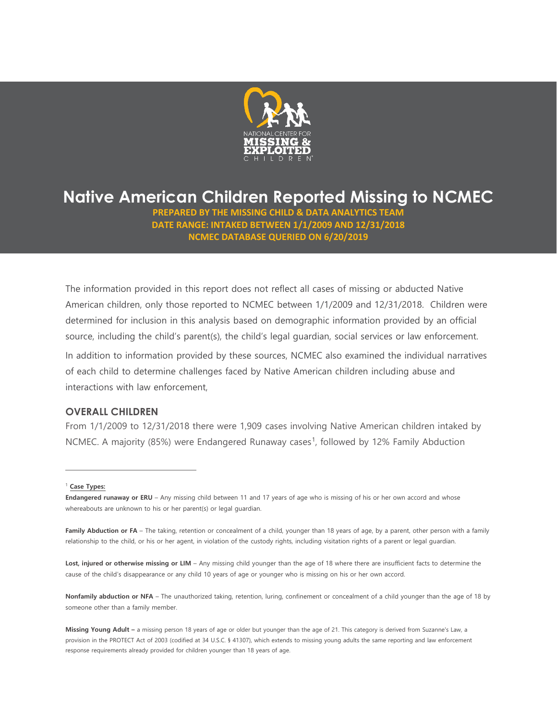

# **Native American Children Reported Missing to NCMEC**

**PREPARED BY THE MISSING CHILD & DATA ANALYTICS TEAM DATE RANGE: INTAKED BETWEEN 1/1/2009 AND 12/31/2018 NCMEC DATABASE QUERIED ON 6/20/2019**

The information provided in this report does not reflect all cases of missing or abducted Native American children, only those reported to NCMEC between 1/1/2009 and 12/31/2018. Children were determined for inclusion in this analysis based on demographic information provided by an official source, including the child's parent(s), the child's legal guardian, social services or law enforcement.

In addition to information provided by these sources, NCMEC also examined the individual narratives of each child to determine challenges faced by Native American children including abuse and interactions with law enforcement,

## **OVERALL CHILDREN**

From 1/1/2009 to 12/31/2018 there were 1,909 cases involving Native American children intaked by NCMEC. A majority (85%) were Endangered Runaway cases<sup>1</sup>, followed by 12% Family Abduction

#### <span id="page-0-0"></span><sup>1</sup> **Case Types:**

 $\overline{a}$ 

Lost, injured or otherwise missing or LIM – Any missing child younger than the age of 18 where there are insufficient facts to determine the cause of the child's disappearance or any child 10 years of age or younger who is missing on his or her own accord.

**Nonfamily abduction or NFA** – The unauthorized taking, retention, luring, confinement or concealment of a child younger than the age of 18 by someone other than a family member.

**Endangered runaway or ERU** – Any missing child between 11 and 17 years of age who is missing of his or her own accord and whose whereabouts are unknown to his or her parent(s) or legal guardian.

Family Abduction or FA - The taking, retention or concealment of a child, younger than 18 years of age, by a parent, other person with a family relationship to the child, or his or her agent, in violation of the custody rights, including visitation rights of a parent or legal guardian.

Missing Young Adult - a missing person 18 years of age or older but younger than the age of 21. This category is derived from Suzanne's Law, a provision in the PROTECT Act of 2003 (codified at 34 U.S.C. § 41307), which extends to missing young adults the same reporting and law enforcement response requirements already provided for children younger than 18 years of age.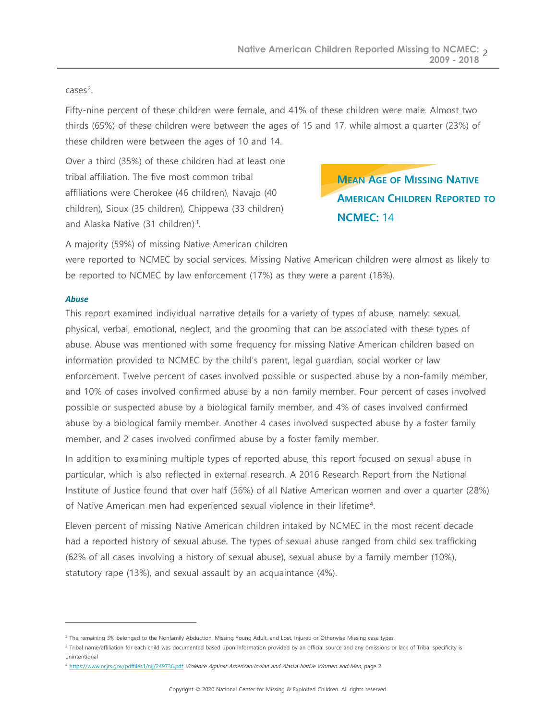### cases[2](#page-1-0).

Fifty-nine percent of these children were female, and 41% of these children were male. Almost two thirds (65%) of these children were between the ages of 15 and 17, while almost a quarter (23%) of these children were between the ages of 10 and 14.

Over a third (35%) of these children had at least one tribal affiliation. The five most common tribal affiliations were Cherokee (46 children), Navajo (40 children), Sioux (35 children), Chippewa (33 children) and Alaska Native ([3](#page-1-1)1 children)<sup>3</sup>.

# **MEAN AGE OF MISSING NATIVE AMERICAN CHILDREN REPORTED TO NCMEC:** 14

A majority (59%) of missing Native American children

were reported to NCMEC by social services. Missing Native American children were almost as likely to be reported to NCMEC by law enforcement (17%) as they were a parent (18%).

### *Abuse*

 $\overline{a}$ 

This report examined individual narrative details for a variety of types of abuse, namely: sexual, physical, verbal, emotional, neglect, and the grooming that can be associated with these types of abuse. Abuse was mentioned with some frequency for missing Native American children based on information provided to NCMEC by the child's parent, legal guardian, social worker or law enforcement. Twelve percent of cases involved possible or suspected abuse by a non-family member, and 10% of cases involved confirmed abuse by a non-family member. Four percent of cases involved possible or suspected abuse by a biological family member, and 4% of cases involved confirmed abuse by a biological family member. Another 4 cases involved suspected abuse by a foster family member, and 2 cases involved confirmed abuse by a foster family member.

In addition to examining multiple types of reported abuse, this report focused on sexual abuse in particular, which is also reflected in external research. A 2016 Research Report from the National Institute of Justice found that over half (56%) of all Native American women and over a quarter (28%) of Native American men had experienced sexual violence in their lifetime[4](#page-1-2).

Eleven percent of missing Native American children intaked by NCMEC in the most recent decade had a reported history of sexual abuse. The types of sexual abuse ranged from child sex trafficking (62% of all cases involving a history of sexual abuse), sexual abuse by a family member (10%), statutory rape (13%), and sexual assault by an acquaintance (4%).

<span id="page-1-1"></span><sup>3</sup> Tribal name/affiliation for each child was documented based upon information provided by an official source and any omissions or lack of Tribal specificity is unintentional

<span id="page-1-0"></span><sup>&</sup>lt;sup>2</sup> The remaining 3% belonged to the Nonfamily Abduction, Missing Young Adult, and Lost, Injured or Otherwise Missing case types.

<span id="page-1-2"></span><sup>4</sup> <https://www.ncjrs.gov/pdffiles1/nij/249736.pdf> Violence Against American Indian and Alaska Native Women and Men, page 2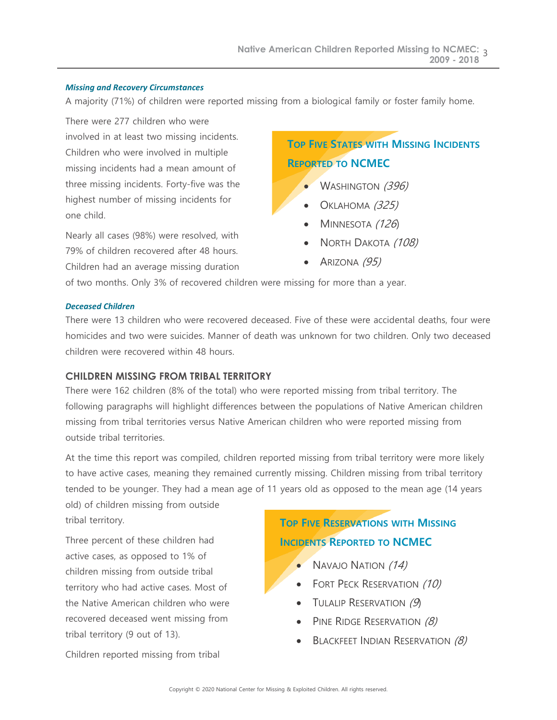### *Missing and Recovery Circumstances*

A majority (71%) of children were reported missing from a biological family or foster family home.

There were 277 children who were involved in at least two missing incidents. Children who were involved in multiple missing incidents had a mean amount of three missing incidents. Forty-five was the highest number of missing incidents for one child.

Nearly all cases (98%) were resolved, with 79% of children recovered after 48 hours. Children had an average missing duration

## **TOP FIVE STATES WITH MISSING INCIDENTS REPORTED TO NCMEC**

- **WASHINGTON (396)** 
	- OKLAHOMA (325)
	- MINNESOTA (126)
- NORTH DAKOTA (108)
- ARIZONA (95)

of two months. Only 3% of recovered children were missing for more than a year.

### *Deceased Children*

There were 13 children who were recovered deceased. Five of these were accidental deaths, four were homicides and two were suicides. Manner of death was unknown for two children. Only two deceased children were recovered within 48 hours.

## **CHILDREN MISSING FROM TRIBAL TERRITORY**

There were 162 children (8% of the total) who were reported missing from tribal territory. The following paragraphs will highlight differences between the populations of Native American children missing from tribal territories versus Native American children who were reported missing from outside tribal territories.

At the time this report was compiled, children reported missing from tribal territory were more likely to have active cases, meaning they remained currently missing. Children missing from tribal territory tended to be younger. They had a mean age of 11 years old as opposed to the mean age (14 years

old) of children missing from outside tribal territory.

Three percent of these children had active cases, as opposed to 1% of children missing from outside tribal territory who had active cases. Most of the Native American children who were recovered deceased went missing from tribal territory (9 out of 13).

Children reported missing from tribal

## **TOP FIVE RESERVATIONS WITH MISSING INCIDENTS REPORTED TO NCMEC**

- NAVAJO NATION (14)
- FORT PECK RESERVATION (10)
- TULALIP RESERVATION  $(9)$
- PINE RIDGE RESERVATION (8)
- BLACKFEET INDIAN RESERVATION (8)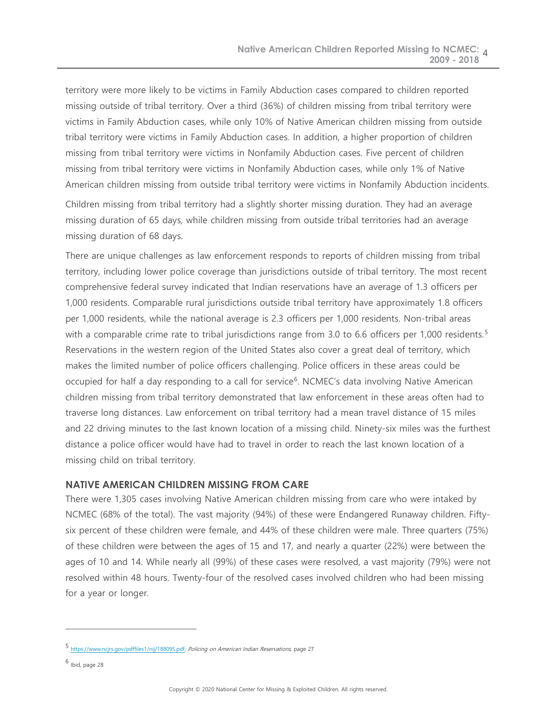territory were more likely to be victims in Family Abduction cases compared to children reported missing outside of tribal territory. Over a third (36%) of children missing from tribal territory were victims in Family Abduction cases, while only 10% of Native American children missing from outside tribal territory were victims in Family Abduction cases. In addition, a higher proportion of children missing from tribal territory were victims in Nonfamily Abduction cases. Five percent of children missing from tribal territory were victims in Nonfamily Abduction cases, while only 1% of Native American children missing from outside tribal territory were victims in Nonfamily Abduction incidents.

Children missing from tribal territory had a slightly shorter missing duration. They had an average missing duration of 65 days, while children missing from outside tribal territories had an average missing duration of 68 days.

There are unique challenges as law enforcement responds to reports of children missing from tribal territory, including lower police coverage than jurisdictions outside of tribal territory. The most recent comprehensive federal survey indicated that Indian reservations have an average of 1.3 officers per 1,000 residents. Comparable rural jurisdictions outside tribal territory have approximately 1.8 officers per 1,000 residents, while the national average is 2.3 officers per 1,000 residents. Non-tribal areas with a comparable crime rate to tribal jurisdictions range from 3.0 to 6.6 officers per 1,000 residents.<sup>[5](#page-3-0)</sup> Reservations in the western region of the United States also cover a great deal of territory, which makes the limited number of police officers challenging. Police officers in these areas could be occupied for half a day responding to a call for service<sup>[6](#page-3-1)</sup>. NCMEC's data involving Native American children missing from tribal territory demonstrated that law enforcement in these areas often had to traverse long distances. Law enforcement on tribal territory had a mean travel distance of 15 miles and 22 driving minutes to the last known location of a missing child. Ninety-six miles was the furthest distance a police officer would have had to travel in order to reach the last known location of a missing child on tribal territory.

### **NATIVE AMERICAN CHILDREN MISSING FROM CARE**

There were 1,305 cases involving Native American children missing from care who were intaked by NCMEC (68% of the total). The vast majority (94%) of these were Endangered Runaway children. Fiftysix percent of these children were female, and 44% of these children were male. Three quarters (75%) of these children were between the ages of 15 and 17, and nearly a quarter (22%) were between the ages of 10 and 14. While nearly all (99%) of these cases were resolved, a vast majority (79%) were not resolved within 48 hours. Twenty-four of the resolved cases involved children who had been missing for a year or longer.

 $\overline{a}$ 

<span id="page-3-0"></span><sup>5</sup> [https://www.ncjrs.gov/pdffiles1/nij/188095.pdf,](https://www.ncjrs.gov/pdffiles1/nij/188095.pdf) Policing on American Indian Reservations, page 27

<span id="page-3-1"></span> $6$  Ibid, page 28  $\,$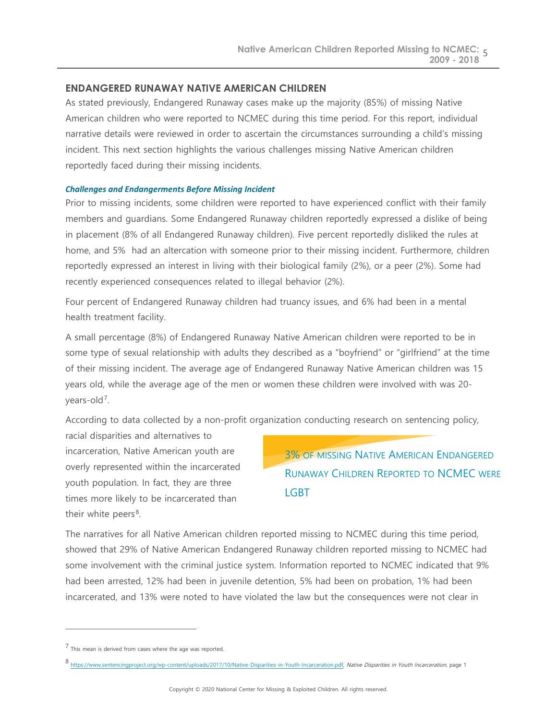## **ENDANGERED RUNAWAY NATIVE AMERICAN CHILDREN**

As stated previously, Endangered Runaway cases make up the majority (85%) of missing Native American children who were reported to NCMEC during this time period. For this report, individual narrative details were reviewed in order to ascertain the circumstances surrounding a child's missing incident. This next section highlights the various challenges missing Native American children reportedly faced during their missing incidents.

### *Challenges and Endangerments Before Missing Incident*

Prior to missing incidents, some children were reported to have experienced conflict with their family members and guardians. Some Endangered Runaway children reportedly expressed a dislike of being in placement (8% of all Endangered Runaway children). Five percent reportedly disliked the rules at home, and 5% had an altercation with someone prior to their missing incident. Furthermore, children reportedly expressed an interest in living with their biological family (2%), or a peer (2%). Some had recently experienced consequences related to illegal behavior (2%).

Four percent of Endangered Runaway children had truancy issues, and 6% had been in a mental health treatment facility.

A small percentage (8%) of Endangered Runaway Native American children were reported to be in some type of sexual relationship with adults they described as a "boyfriend" or "girlfriend" at the time of their missing incident. The average age of Endangered Runaway Native American children was 15 years old, while the average age of the men or women these children were involved with was 20- years-old<sup>[7](#page-4-0)</sup>.

According to data collected by a non-profit organization conducting research on sentencing policy,

racial disparities and alternatives to incarceration, Native American youth are overly represented within the incarcerated youth population. In fact, they are three times more likely to be incarcerated than their white peers $8$ .

3% OF MISSING NATIVE AMERICAN ENDANGERED RUNAWAY CHILDREN REPORTED TO NCMEC WERE LGBT

The narratives for all Native American children reported missing to NCMEC during this time period, showed that 29% of Native American Endangered Runaway children reported missing to NCMEC had some involvement with the criminal justice system. Information reported to NCMEC indicated that 9% had been arrested, 12% had been in juvenile detention, 5% had been on probation, 1% had been incarcerated, and 13% were noted to have violated the law but the consequences were not clear in

 $\overline{a}$ 

<span id="page-4-0"></span> $7$  This mean is derived from cases where the age was reported.

<span id="page-4-1"></span><sup>8</sup> [https://www.sentencingproject.org/wp-content/uploads/2017/10/Native-Disparities-in-Youth-Incarceration.pdf,](https://www.sentencingproject.org/wp-content/uploads/2017/10/Native-Disparities-in-Youth-Incarceration.pdf) Native Disparities in Youth Incarceration, page 1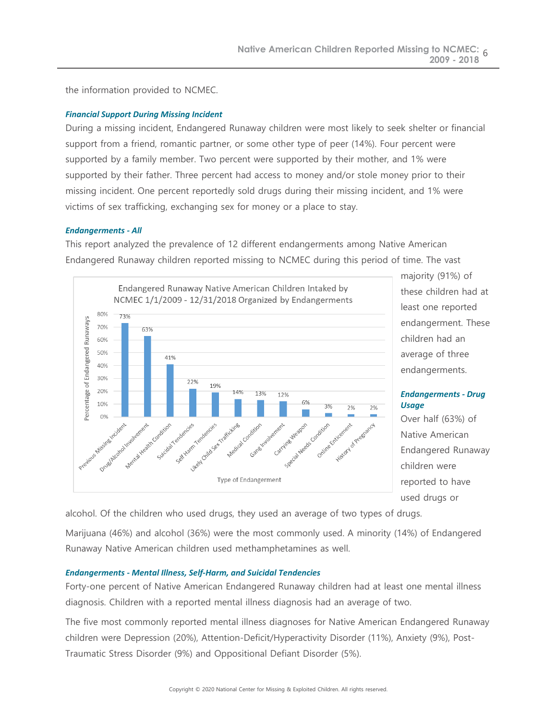the information provided to NCMEC.

### *Financial Support During Missing Incident*

During a missing incident, Endangered Runaway children were most likely to seek shelter or financial support from a friend, romantic partner, or some other type of peer (14%). Four percent were supported by a family member. Two percent were supported by their mother, and 1% were supported by their father. Three percent had access to money and/or stole money prior to their missing incident. One percent reportedly sold drugs during their missing incident, and 1% were victims of sex trafficking, exchanging sex for money or a place to stay.

### *Endangerments - All*

This report analyzed the prevalence of 12 different endangerments among Native American Endangered Runaway children reported missing to NCMEC during this period of time. The vast



majority (91%) of these children had at least one reported endangerment. These children had an average of three endangerments.

### *Endangerments - Drug Usage*

Over half (63%) of Native American Endangered Runaway children were reported to have used drugs or

alcohol. Of the children who used drugs, they used an average of two types of drugs.

Marijuana (46%) and alcohol (36%) were the most commonly used. A minority (14%) of Endangered Runaway Native American children used methamphetamines as well.

### *Endangerments - Mental Illness, Self-Harm, and Suicidal Tendencies*

Forty-one percent of Native American Endangered Runaway children had at least one mental illness diagnosis. Children with a reported mental illness diagnosis had an average of two.

The five most commonly reported mental illness diagnoses for Native American Endangered Runaway children were Depression (20%), Attention-Deficit/Hyperactivity Disorder (11%), Anxiety (9%), Post-Traumatic Stress Disorder (9%) and Oppositional Defiant Disorder (5%).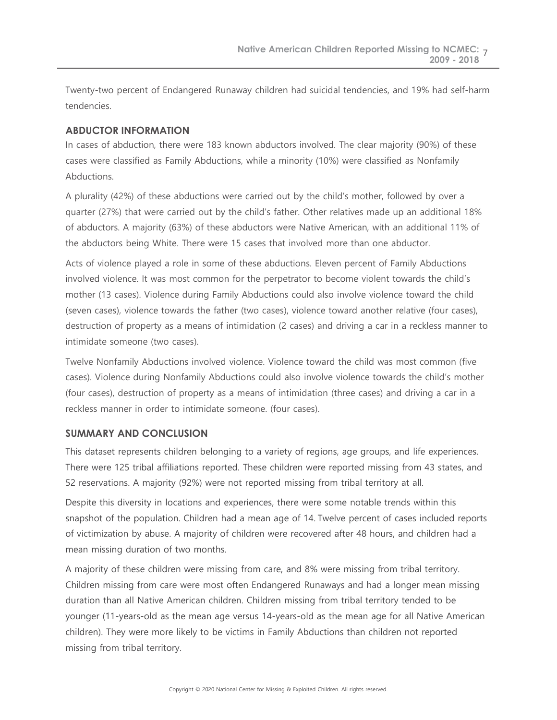Twenty-two percent of Endangered Runaway children had suicidal tendencies, and 19% had self-harm tendencies.

## **ABDUCTOR INFORMATION**

In cases of abduction, there were 183 known abductors involved. The clear majority (90%) of these cases were classified as Family Abductions, while a minority (10%) were classified as Nonfamily **Abductions** 

A plurality (42%) of these abductions were carried out by the child's mother, followed by over a quarter (27%) that were carried out by the child's father. Other relatives made up an additional 18% of abductors. A majority (63%) of these abductors were Native American, with an additional 11% of the abductors being White. There were 15 cases that involved more than one abductor.

Acts of violence played a role in some of these abductions. Eleven percent of Family Abductions involved violence. It was most common for the perpetrator to become violent towards the child's mother (13 cases). Violence during Family Abductions could also involve violence toward the child (seven cases), violence towards the father (two cases), violence toward another relative (four cases), destruction of property as a means of intimidation (2 cases) and driving a car in a reckless manner to intimidate someone (two cases).

Twelve Nonfamily Abductions involved violence. Violence toward the child was most common (five cases). Violence during Nonfamily Abductions could also involve violence towards the child's mother (four cases), destruction of property as a means of intimidation (three cases) and driving a car in a reckless manner in order to intimidate someone. (four cases).

## **SUMMARY AND CONCLUSION**

This dataset represents children belonging to a variety of regions, age groups, and life experiences. There were 125 tribal affiliations reported. These children were reported missing from 43 states, and 52 reservations. A majority (92%) were not reported missing from tribal territory at all.

Despite this diversity in locations and experiences, there were some notable trends within this snapshot of the population. Children had a mean age of 14. Twelve percent of cases included reports of victimization by abuse. A majority of children were recovered after 48 hours, and children had a mean missing duration of two months.

A majority of these children were missing from care, and 8% were missing from tribal territory. Children missing from care were most often Endangered Runaways and had a longer mean missing duration than all Native American children. Children missing from tribal territory tended to be younger (11-years-old as the mean age versus 14-years-old as the mean age for all Native American children). They were more likely to be victims in Family Abductions than children not reported missing from tribal territory.